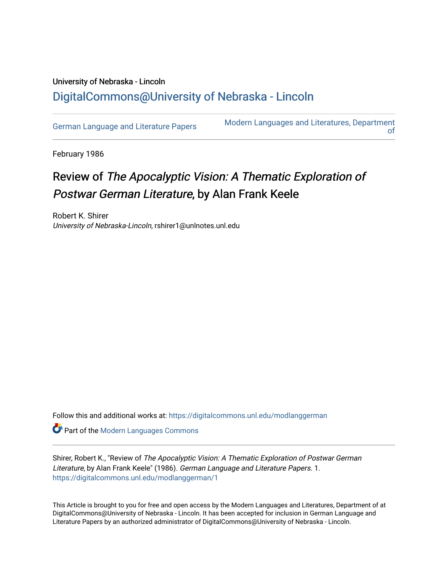## University of Nebraska - Lincoln [DigitalCommons@University of Nebraska - Lincoln](https://digitalcommons.unl.edu/)

[German Language and Literature Papers](https://digitalcommons.unl.edu/modlanggerman) Modern Languages and Literatures, Department [of](https://digitalcommons.unl.edu/modernlanguages) 

February 1986

## Review of The Apocalyptic Vision: A Thematic Exploration of Postwar German Literature, by Alan Frank Keele

Robert K. Shirer University of Nebraska-Lincoln, rshirer1@unlnotes.unl.edu

Follow this and additional works at: [https://digitalcommons.unl.edu/modlanggerman](https://digitalcommons.unl.edu/modlanggerman?utm_source=digitalcommons.unl.edu%2Fmodlanggerman%2F1&utm_medium=PDF&utm_campaign=PDFCoverPages) 

Part of the [Modern Languages Commons](http://network.bepress.com/hgg/discipline/1130?utm_source=digitalcommons.unl.edu%2Fmodlanggerman%2F1&utm_medium=PDF&utm_campaign=PDFCoverPages) 

Shirer, Robert K., "Review of The Apocalyptic Vision: A Thematic Exploration of Postwar German Literature, by Alan Frank Keele" (1986). German Language and Literature Papers. 1. [https://digitalcommons.unl.edu/modlanggerman/1](https://digitalcommons.unl.edu/modlanggerman/1?utm_source=digitalcommons.unl.edu%2Fmodlanggerman%2F1&utm_medium=PDF&utm_campaign=PDFCoverPages) 

This Article is brought to you for free and open access by the Modern Languages and Literatures, Department of at DigitalCommons@University of Nebraska - Lincoln. It has been accepted for inclusion in German Language and Literature Papers by an authorized administrator of DigitalCommons@University of Nebraska - Lincoln.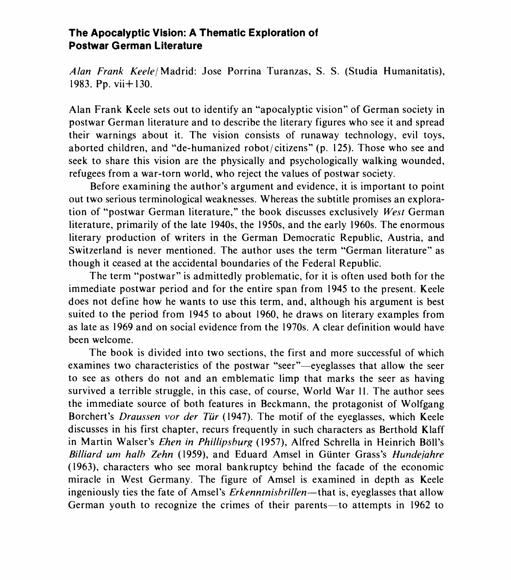## **The Apocalyptic Vision: A Thematic Exploration of Postwar German Literature**

Alan Frank Keelel Madrid: Jose Porrina Turanzas, S. S. (Studia Humanitatis), 1983. Pp. vii+ 130.

Alan Frank Keele sets out to identify an "apocalyptic vision" of German society in postwar German literature and to describe the literary figures who see it and spread their warnings about it. The vision consists of runaway technology, evil toys, aborted children, and "de-humanized robot/citizens" (p. 125). Those who see and seek to share this vision are the physically and psychologically walking wounded, refugees from a war-torn world, who reject the values of postwar society.

Before examining the author's argument and evidence, it is important to point out two serious terminological weaknesses. Whereas the subtitle promises an exploration of "postwar German literature," the book discusses exclusively West German literature, primarily of the late 1940s, the 1950s, and the early 1960s. The enormous literary production of writers in the German Democratic Republic, Austria, and Switzerland is never mentioned. The author uses the term "German literature" as though it ceased at the accidental boundaries of the Federal Republic.

The term "postwar" is admittedly problematic, for it is often used both for the immediate postwar period and for the entire span from 1945 to the present. Keele does not define how he wants to use this term, and, although his argument is best suited to the period from 1945 to about 1960, he draws on literary examples from as late as 1969 and on social evidence from the 1970s. A clear definition would have been welcome.

The book is divided into two sections, the first and more successful of which examines two characteristics of the postwar "seer"—eyeglasses that allow the seer to see as others do not and an emblematic limp that marks the seer as having survived a terrible struggle, in this case, of course, World War 11. The author sees the immediate source of both features in Beckmann, the protagonist of Wolfgang Borchert's *Draussen vor der Tür* (1947). The motif of the eyeglasses, which Keele discusses in his first chapter, recurs frequently in such characters as Berthold Klaff in Martin Walser's *Ehen in Phillipsburg* (1957), Alfred Schrella in Heinrich Böll's Billiard um halb Zehn (1959), and Eduard Amsel in Günter Grass's Hundejahre (1963), characters who see moral bankruptcy behind the facade of the economic miracle in West Germany. The figure of Amsel is examined in depth as Keele ingeniously ties the fate of Amsel's Erkenntnisbrillen-that is, eyeglasses that allow German youth to recognize the crimes of their parents-to attempts in 1962 to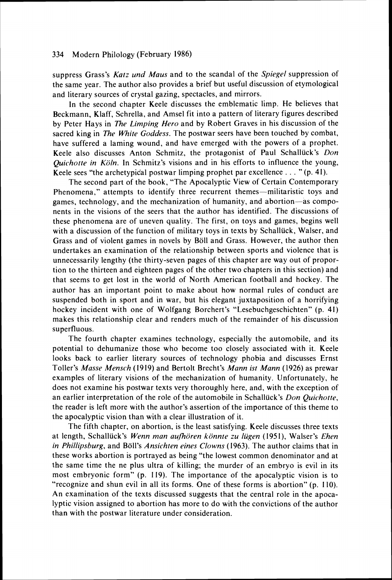suppress Grass's *Karz und Maus* and to the scandal of the *Spiegel* suppression of the same year. The author also provides a brief but useful discussion of etymological and literary sources of crystal gazing, spectacles, and mirrors.

In the second chapter Keele discusses the emblematic limp. He believes that Beckmann, Klaff, Schrella, and Amsel fit into a pattern of literary figures described by Peter Hays in *The Limping Hero* and by Robert Graves in his discussion of the sacred king in *The White Gotldess.* The postwar seers have been touched by combat, have suffered a laming wound, and have emerged with the powers of a prophet. Keele also discusses Anton Schmitz, the protagonist of Paul Schalluck's *Don Quichotte in Köln.* In Schmitz's visions and in his efforts to influence the young, Keele sees "the archetypical postwar limping prophet par excellence  $\dots$  "(p. 41).

The second part of the book, "The Apocalyptic View of Certain Contemporary Phenomena," attempts to identify three recurrent themes-militaristic toys and games, technology, and the mechanization of humanity, and abortion-as components in the visions of the seers that the author has identified. The discussions of these phenomena are of uneven quality. The first, on toys and games, begins well with a discussion of the function of military toys in texts by Schallück, Walser, and Grass and of violent games in novels by Boll and Grass. However, the author then undertakes an examination of the relationship between sports and violence that is unnecessarily lengthy (the thirty-seven pages of this chapter are way out of proportion to the thirteen and eighteen pages of the other two chapters in this section) and that seems to get lost in the world of North American football and hockey. The author has an important point to make about how normal rules of conduct are suspended both in sport and in war, but his elegant juxtaposition of a horrifying hockey incident with one of Wolfgang Borchert's "Lesebuchgeschichten" (p. 41) makes this relationship clear and renders much of the remainder of his discussion superfluous.

The fourth chapter examines technology, especially the automobile, and its potential to dehumanize those who become too closely associated with it. Keele looks back to earlier literary sources of technology phobia and discusses Ernst Toller's *Masse Mensch* (1919) and Bertolt Brecht's *Mann 1st Mann* (1926) as prewar examples of literary visions of the mechanization of humanity. Unfortunately, he does not examine his postwar texts very thoroughly here, and, with the exception of an earlier interpretation of the role of the automobile in Schalliick's *Don Quichotte,*  the reader is left more with the author's assertion of the importance of this theme to the apocalyptic vision than with a clear illustration of it.

The fifth chapter, on abortion, is the least satisfying. Keele discusses three texts at length, Schalluck's *Wenn man aufioren konnte zu liigen* (1951), Walser's *Ehen in Phillipsburg,* and Boll's *Ansichien eines Clowns* (1963). The author claims that in these works abortion is portrayed as being "the lowest common denominator and at the same time the ne plus ultra of killing; the murder of an embryo is evil in its most embryonic form" (p. 119). The importance of the apocalyptic vision is to "recognize and shun evil in all its forms. One of these forms is abortion" (p. 110). An examination of the texts discussed suggests that the central role in the apocalyptic vision assigned to abortion has more to do with the convictions of the author than with the postwar literature under consideration.